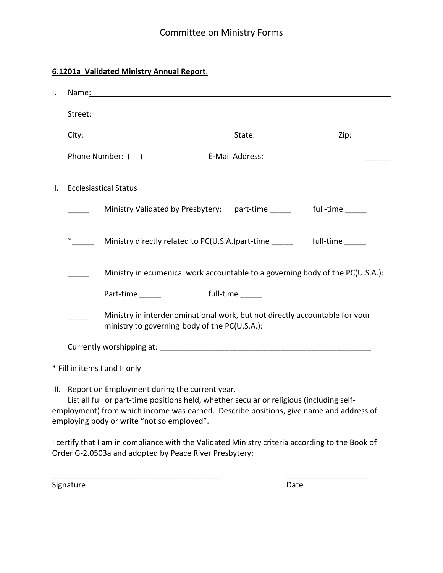## **6.1201a Validated Ministry Annual Report**.

| $\mathsf{L}$ | Name: Name and the second state of the second state of the second state of the second state of the second state of the second state of the second state of the second state of the second state of the second state of the sec                                                         |                                                                                                                              |           |           |  |  |
|--------------|----------------------------------------------------------------------------------------------------------------------------------------------------------------------------------------------------------------------------------------------------------------------------------------|------------------------------------------------------------------------------------------------------------------------------|-----------|-----------|--|--|
|              |                                                                                                                                                                                                                                                                                        |                                                                                                                              |           |           |  |  |
|              |                                                                                                                                                                                                                                                                                        |                                                                                                                              |           | Zip: 2000 |  |  |
|              |                                                                                                                                                                                                                                                                                        | Phone Number: ( ) The Research E-Mail Address: The Research Phone Number: ( )                                                |           |           |  |  |
| ΙΙ.          |                                                                                                                                                                                                                                                                                        | <b>Ecclesiastical Status</b>                                                                                                 |           |           |  |  |
|              |                                                                                                                                                                                                                                                                                        | Ministry Validated by Presbytery:   part-time ______   full-time _____                                                       |           |           |  |  |
|              |                                                                                                                                                                                                                                                                                        | Ministry directly related to PC(U.S.A.) part-time _______ full-time _____                                                    |           |           |  |  |
|              | Ministry in ecumenical work accountable to a governing body of the PC(U.S.A.):                                                                                                                                                                                                         |                                                                                                                              |           |           |  |  |
|              |                                                                                                                                                                                                                                                                                        | Part-time                                                                                                                    | full-time |           |  |  |
|              |                                                                                                                                                                                                                                                                                        | Ministry in interdenominational work, but not directly accountable for your<br>ministry to governing body of the PC(U.S.A.): |           |           |  |  |
|              |                                                                                                                                                                                                                                                                                        |                                                                                                                              |           |           |  |  |
|              |                                                                                                                                                                                                                                                                                        | * Fill in items I and II only                                                                                                |           |           |  |  |
|              | III. Report on Employment during the current year.<br>List all full or part-time positions held, whether secular or religious (including self-<br>employment) from which income was earned. Describe positions, give name and address of<br>employing body or write "not so employed". |                                                                                                                              |           |           |  |  |
|              |                                                                                                                                                                                                                                                                                        | Logality Hotel and in concellence of the Hotel behave a Minister contrasto according to the Dools of                         |           |           |  |  |

I certify that I am in compliance with the Validated Ministry criteria according to the Book of Order G-2.0503a and adopted by Peace River Presbytery:

\_\_\_\_\_\_\_\_\_\_\_\_\_\_\_\_\_\_\_\_\_\_\_\_\_\_\_\_\_\_\_\_\_\_\_\_\_\_\_ \_\_\_\_\_\_\_\_\_\_\_\_\_\_\_\_\_\_\_

Signature Date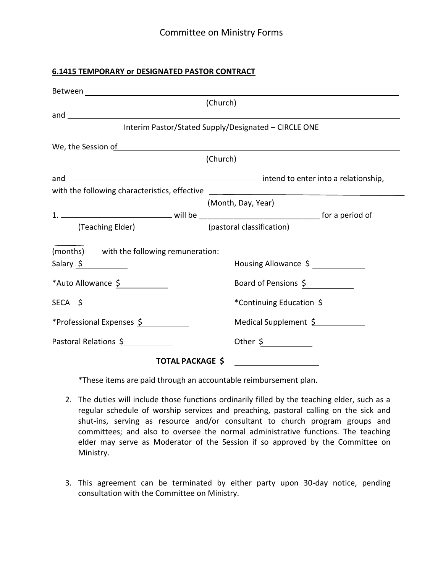#### **6.1415 TEMPORARY or DESIGNATED PASTOR CONTRACT**

|                                           | (Church)                                                                         |
|-------------------------------------------|----------------------------------------------------------------------------------|
|                                           |                                                                                  |
|                                           | Interim Pastor/Stated Supply/Designated - CIRCLE ONE                             |
|                                           | We, the Session of <u>and the session of</u> the session of                      |
|                                           | (Church)                                                                         |
|                                           |                                                                                  |
|                                           | with the following characteristics, effective __________________________________ |
|                                           | (Month, Day, Year)                                                               |
|                                           |                                                                                  |
| (Teaching Elder)                          | (pastoral classification)                                                        |
| (months) with the following remuneration: |                                                                                  |
| Salary \$                                 | Housing Allowance \$ _____________                                               |
| *Auto Allowance \$                        | Board of Pensions \$                                                             |
| $SECA \rightarrow$                        | *Continuing Education \$                                                         |
| *Professional Expenses \$                 | Medical Supplement \$                                                            |
| Pastoral Relations \$                     |                                                                                  |
| <b>TOTAL PACKAGE \$</b>                   | <u> 1989 - Andrea Station Books, amerikansk politik (d. 1989)</u>                |

\*These items are paid through an accountable reimbursement plan.

- 2. The duties will include those functions ordinarily filled by the teaching elder, such as a regular schedule of worship services and preaching, pastoral calling on the sick and shut-ins, serving as resource and/or consultant to church program groups and committees; and also to oversee the normal administrative functions. The teaching elder may serve as Moderator of the Session if so approved by the Committee on Ministry.
- 3. This agreement can be terminated by either party upon 30-day notice, pending consultation with the Committee on Ministry.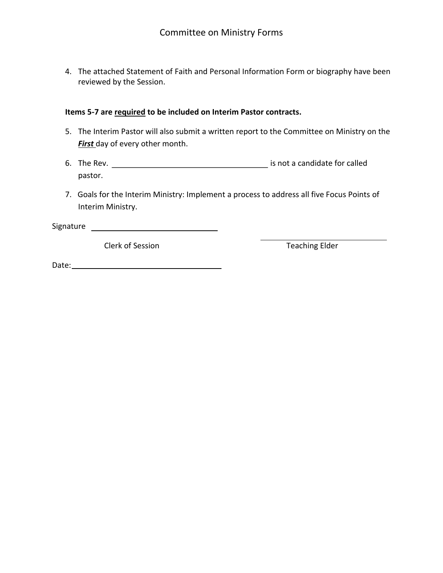4. The attached Statement of Faith and Personal Information Form or biography have been reviewed by the Session.

#### **Items 5-7 are required to be included on Interim Pastor contracts.**

- 5. The Interim Pastor will also submit a written report to the Committee on Ministry on the **First** day of every other month.
- 6. The Rev. <u>Improves a contract of the Revenus and is not a candidate for called</u> pastor.
- 7. Goals for the Interim Ministry: Implement a process to address all five Focus Points of Interim Ministry.

Signature

Clerk of Session Teaching Elder

Date: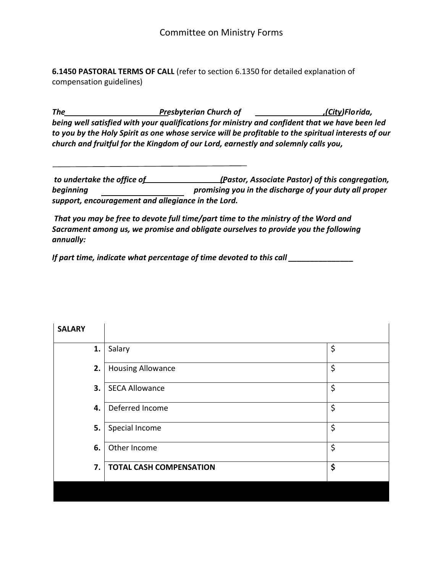**6.1450 PASTORAL TERMS OF CALL** (refer to section 6.1350 for detailed explanation of compensation guidelines)

*The Presbyterian Church of ,(City)Florida, being well satisfied with your qualifications for ministry and confident that we have been led to you by the Holy Spirit as one whose service will be profitable to the spiritual interests of our church and fruitful for the Kingdom of our Lord, earnestly and solemnly calls you,* 

*to undertake the office of (Pastor, Associate Pastor) of this congregation, beginning promising you in the discharge of your duty all proper support, encouragement and allegiance in the Lord.* 

*That you may be free to devote full time/part time to the ministry of the Word and Sacrament among us, we promise and obligate ourselves to provide you the following annually:* 

*If part time, indicate what percentage of time devoted to this call \_\_\_\_\_\_\_\_\_\_\_\_\_\_\_*

| <b>SALARY</b> |                                |    |
|---------------|--------------------------------|----|
| 1.            | Salary                         | \$ |
| 2.            | <b>Housing Allowance</b>       | \$ |
| 3.            | <b>SECA Allowance</b>          | \$ |
| 4.            | Deferred Income                | \$ |
| 5.            | Special Income                 | \$ |
| 6.            | Other Income                   | \$ |
| 7.            | <b>TOTAL CASH COMPENSATION</b> | \$ |
|               |                                |    |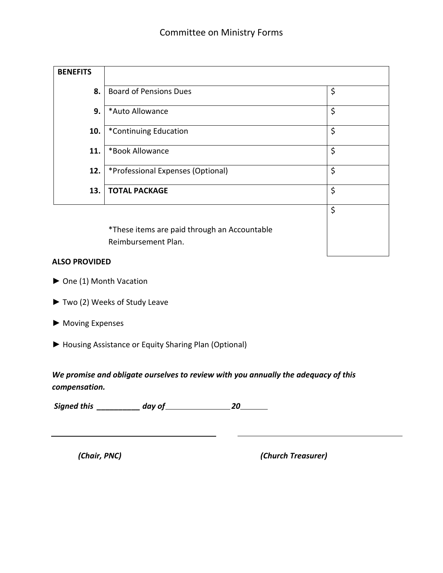| <b>BENEFITS</b> |                                              |    |
|-----------------|----------------------------------------------|----|
| 8.              | <b>Board of Pensions Dues</b>                | \$ |
| 9.              | *Auto Allowance                              | \$ |
| 10.             | *Continuing Education                        | \$ |
| 11.             | *Book Allowance                              | \$ |
| 12.             | *Professional Expenses (Optional)            | \$ |
| 13.             | <b>TOTAL PACKAGE</b>                         | \$ |
|                 |                                              | \$ |
|                 | *These items are paid through an Accountable |    |

Reimbursement Plan.

#### **ALSO PROVIDED**

- ► One (1) Month Vacation
- ► Two (2) Weeks of Study Leave
- ► Moving Expenses
- ► Housing Assistance or Equity Sharing Plan (Optional)

*We promise and obligate ourselves to review with you annually the adequacy of this compensation.* 

*Signed this \_\_\_\_\_\_\_\_\_\_ day of 20* 

*(Chair, PNC) (Church Treasurer)*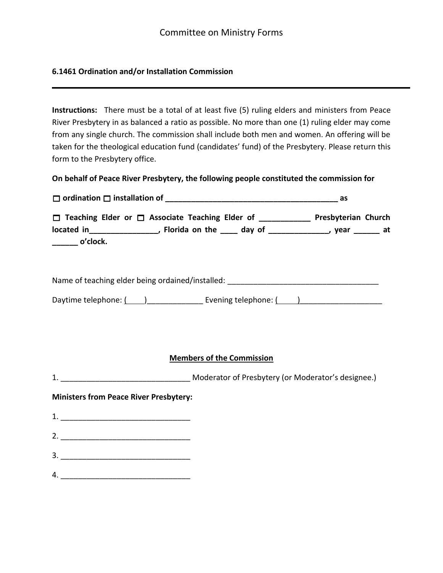## **6.1461 Ordination and/or Installation Commission**

**Instructions:** There must be a total of at least five (5) ruling elders and ministers from Peace River Presbytery in as balanced a ratio as possible. No more than one (1) ruling elder may come from any single church. The commission shall include both men and women. An offering will be taken for the theological education fund (candidates' fund) of the Presbytery. Please return this form to the Presbytery office.

**On behalf of Peace River Presbytery, the following people constituted the commission for** 

| □ Teaching Elder or □ Associate Teaching Elder of ____________ Presbyterian Church<br>located in___________________, Florida on the _____ day of _______________, year _______ at<br>$\rule{1em}{0}$ o'clock. |                                  |  |
|---------------------------------------------------------------------------------------------------------------------------------------------------------------------------------------------------------------|----------------------------------|--|
| Name of teaching elder being ordained/installed: _______________________________                                                                                                                              |                                  |  |
| Daytime telephone: (1, 2020) [1, 2020] [1, 2020] [1, 2020] [1, 2020] [1, 2020] [1, 2020] [1, 2020] [1, 2020] [                                                                                                |                                  |  |
|                                                                                                                                                                                                               | <b>Members of the Commission</b> |  |
| <b>Ministers from Peace River Presbytery:</b>                                                                                                                                                                 |                                  |  |
|                                                                                                                                                                                                               |                                  |  |
|                                                                                                                                                                                                               |                                  |  |
|                                                                                                                                                                                                               |                                  |  |
|                                                                                                                                                                                                               |                                  |  |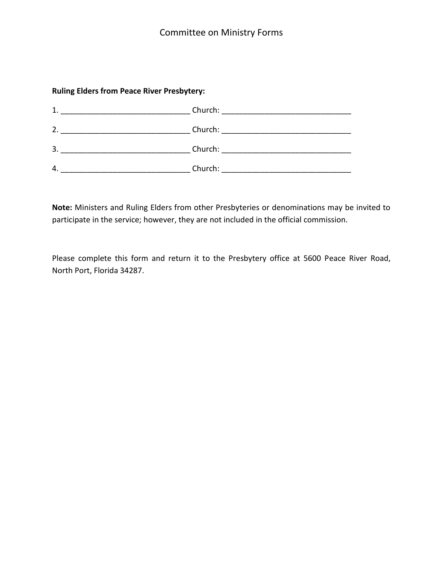## **Ruling Elders from Peace River Presbytery:**

| 1. | Church: |
|----|---------|
| 2. | Church: |
| 3. | Church: |
| 4. | Church: |

**Note:** Ministers and Ruling Elders from other Presbyteries or denominations may be invited to participate in the service; however, they are not included in the official commission.

Please complete this form and return it to the Presbytery office at 5600 Peace River Road, North Port, Florida 34287.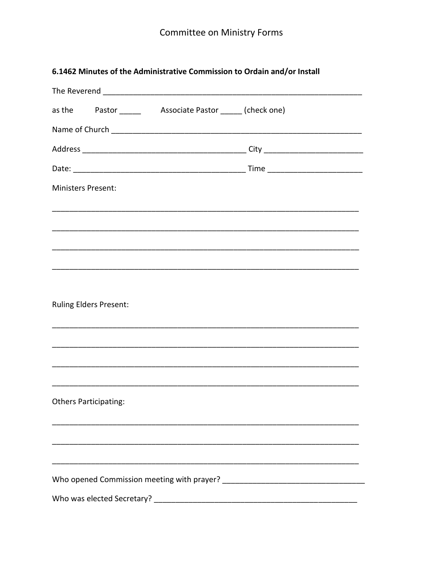## 6.1462 Minutes of the Administrative Commission to Ordain and/or Install

|                           |                               | The Reverend and the state of the state of the state of the state of the state of the state of the state of the |  |
|---------------------------|-------------------------------|-----------------------------------------------------------------------------------------------------------------|--|
|                           |                               |                                                                                                                 |  |
|                           |                               |                                                                                                                 |  |
|                           |                               |                                                                                                                 |  |
|                           |                               |                                                                                                                 |  |
| <b>Ministers Present:</b> |                               |                                                                                                                 |  |
|                           |                               |                                                                                                                 |  |
|                           |                               |                                                                                                                 |  |
|                           |                               |                                                                                                                 |  |
|                           |                               |                                                                                                                 |  |
|                           |                               |                                                                                                                 |  |
|                           | <b>Ruling Elders Present:</b> |                                                                                                                 |  |
|                           |                               |                                                                                                                 |  |
|                           |                               |                                                                                                                 |  |
|                           |                               |                                                                                                                 |  |
|                           |                               |                                                                                                                 |  |
|                           | <b>Others Participating:</b>  |                                                                                                                 |  |
|                           |                               |                                                                                                                 |  |
|                           |                               |                                                                                                                 |  |
|                           |                               |                                                                                                                 |  |
|                           |                               |                                                                                                                 |  |
|                           | Who was elected Secretary?    |                                                                                                                 |  |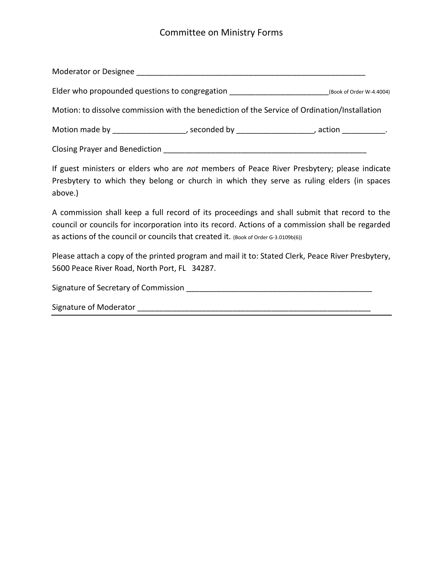## Committee on Ministry Forms

| Moderator or Designee |  |  |
|-----------------------|--|--|
|-----------------------|--|--|

|  |  |  | Elder who propounded questions to congregation |  | (Book of Order W-4.4004) |
|--|--|--|------------------------------------------------|--|--------------------------|
|--|--|--|------------------------------------------------|--|--------------------------|

Motion: to dissolve commission with the benediction of the Service of Ordination/Installation

Motion made by \_\_\_\_\_\_\_\_\_\_\_\_\_\_\_\_\_, seconded by \_\_\_\_\_\_\_\_\_\_\_\_\_\_\_\_\_\_\_, action \_\_\_\_\_\_\_\_\_\_.

Closing Prayer and Benediction \_\_\_\_\_\_\_\_\_\_\_\_\_\_\_\_\_\_\_\_\_\_\_\_\_\_\_\_\_\_\_\_\_\_\_\_\_\_\_\_\_\_\_\_\_\_\_

If guest ministers or elders who are *not* members of Peace River Presbytery; please indicate Presbytery to which they belong or church in which they serve as ruling elders (in spaces above.)

A commission shall keep a full record of its proceedings and shall submit that record to the council or councils for incorporation into its record. Actions of a commission shall be regarded as actions of the council or councils that created it. (Book of Order G-3.0109b(6))

Please attach a copy of the printed program and mail it to: Stated Clerk, Peace River Presbytery, 5600 Peace River Road, North Port, FL 34287.

Signature of Secretary of Commission **Signature of Secretary of Commission** 

Signature of Moderator \_\_\_\_\_\_\_\_\_\_\_\_\_\_\_\_\_\_\_\_\_\_\_\_\_\_\_\_\_\_\_\_\_\_\_\_\_\_\_\_\_\_\_\_\_\_\_\_\_\_\_\_\_\_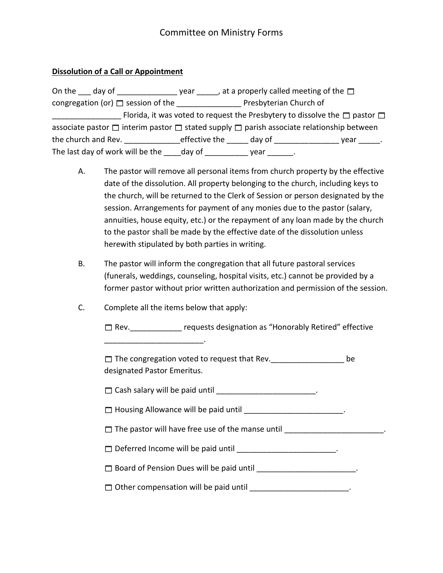### **Dissolution of a Call or Appointment**

| On the day of                                                                                            |               | year, $\Box$ , at a properly called meeting of the $\Box$ |                                                                                            |
|----------------------------------------------------------------------------------------------------------|---------------|-----------------------------------------------------------|--------------------------------------------------------------------------------------------|
|                                                                                                          |               | Presbyterian Church of                                    |                                                                                            |
|                                                                                                          |               |                                                           | Florida, it was voted to request the Presbytery to dissolve the $\square$ pastor $\square$ |
| associate pastor $\Box$ interim pastor $\Box$ stated supply $\Box$ parish associate relationship between |               |                                                           |                                                                                            |
| the church and Rev.                                                                                      | effective the | day of                                                    | year                                                                                       |
| The last day of work will be the day of                                                                  |               | vear                                                      |                                                                                            |

- A. The pastor will remove all personal items from church property by the effective date of the dissolution. All property belonging to the church, including keys to the church, will be returned to the Clerk of Session or person designated by the session. Arrangements for payment of any monies due to the pastor (salary, annuities, house equity, etc.) or the repayment of any loan made by the church to the pastor shall be made by the effective date of the dissolution unless herewith stipulated by both parties in writing.
- B. The pastor will inform the congregation that all future pastoral services (funerals, weddings, counseling, hospital visits, etc.) cannot be provided by a former pastor without prior written authorization and permission of the session.
- C. Complete all the items below that apply:

 $\Box$  Rev. The requests designation as "Honorably Retired" effective

\_\_\_\_\_\_\_\_\_\_\_\_\_\_\_\_\_\_\_\_\_\_\_.

 The congregation voted to request that Rev.\_\_\_\_\_\_\_\_\_\_\_\_\_\_\_\_\_ be designated Pastor Emeritus.

 $\Box$  Cash salary will be paid until  $\Box$ 

 $\Box$  Housing Allowance will be paid until \_\_\_\_\_\_\_\_\_\_\_\_\_\_\_\_\_\_\_\_\_\_\_\_\_.

 $\Box$  The pastor will have free use of the manse until  $\Box$ 

□ Deferred Income will be paid until \_\_\_\_\_\_\_\_\_\_\_\_\_\_\_\_\_\_\_\_\_\_\_\_\_.

□ Board of Pension Dues will be paid until \_\_\_\_\_\_\_\_\_\_\_\_\_\_\_\_\_\_\_\_\_\_\_\_\_.

 $\Box$  Other compensation will be paid until  $\Box$